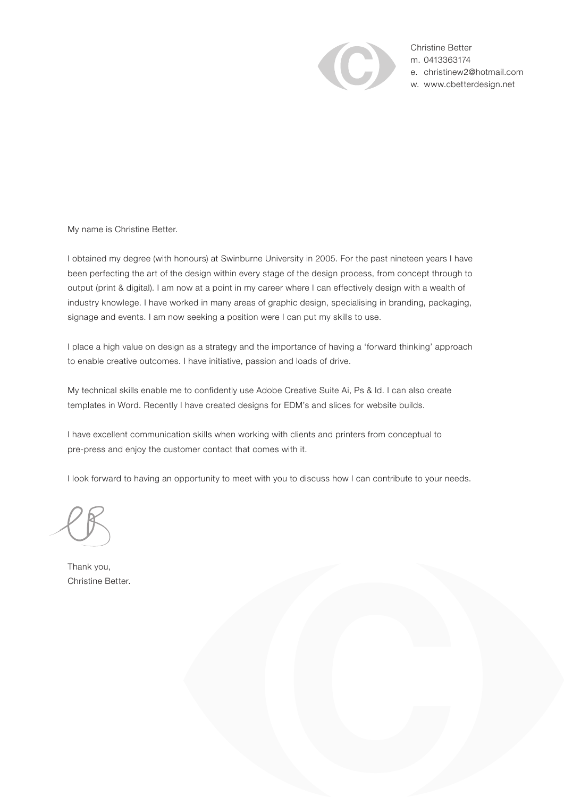

Christine Better m. 0413363174 e. christinew2@hotmail.com w. www.cbetterdesign.net

My name is Christine Better.

I obtained my degree (with honours) at Swinburne University in 2005. For the past nineteen years I have been perfecting the art of the design within every stage of the design process, from concept through to output (print & digital). I am now at a point in my career where I can effectively design with a wealth of industry knowlege. I have worked in many areas of graphic design, specialising in branding, packaging, signage and events. I am now seeking a position were I can put my skills to use.

I place a high value on design as a strategy and the importance of having a 'forward thinking' approach to enable creative outcomes. I have initiative, passion and loads of drive.

My technical skills enable me to confidently use Adobe Creative Suite Ai, Ps & Id. I can also create templates in Word. Recently I have created designs for EDM's and slices for website builds.

I have excellent communication skills when working with clients and printers from conceptual to pre-press and enjoy the customer contact that comes with it.

I look forward to having an opportunity to meet with you to discuss how I can contribute to your needs.

Thank you, Christine Better.